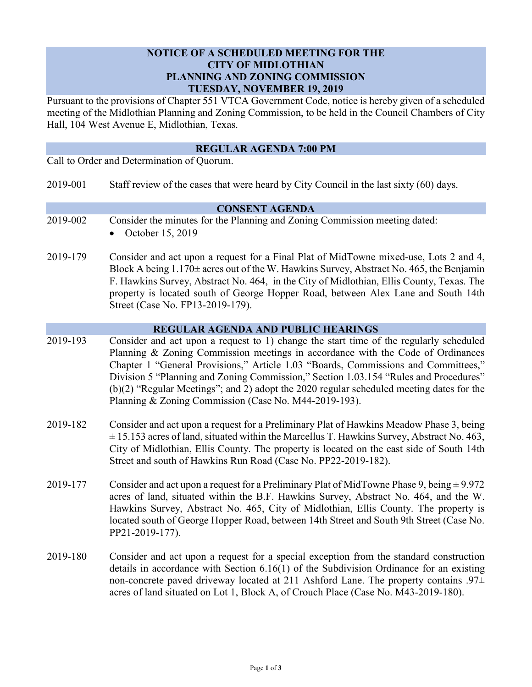## **NOTICE OF A SCHEDULED MEETING FOR THE CITY OF MIDLOTHIAN PLANNING AND ZONING COMMISSION TUESDAY, NOVEMBER 19, 2019**

Pursuant to the provisions of Chapter 551 VTCA Government Code, notice is hereby given of a scheduled meeting of the Midlothian Planning and Zoning Commission, to be held in the Council Chambers of City Hall, 104 West Avenue E, Midlothian, Texas.

### **REGULAR AGENDA 7:00 PM**

Call to Order and Determination of Quorum.

2019-001 Staff review of the cases that were heard by City Council in the last sixty (60) days.

#### **CONSENT AGENDA**

- 2019-002 Consider the minutes for the Planning and Zoning Commission meeting dated:
	- October 15, 2019
- 2019-179 Consider and act upon a request for a Final Plat of MidTowne mixed-use, Lots 2 and 4, Block A being  $1.170\pm$  acres out of the W. Hawkins Survey, Abstract No. 465, the Benjamin F. Hawkins Survey, Abstract No. 464, in the City of Midlothian, Ellis County, Texas. The property is located south of George Hopper Road, between Alex Lane and South 14th Street (Case No. FP13-2019-179).

#### **REGULAR AGENDA AND PUBLIC HEARINGS**

- 2019-193 Consider and act upon a request to 1) change the start time of the regularly scheduled Planning & Zoning Commission meetings in accordance with the Code of Ordinances Chapter 1 "General Provisions," Article 1.03 "Boards, Commissions and Committees," Division 5 "Planning and Zoning Commission," Section 1.03.154 "Rules and Procedures" (b)(2) "Regular Meetings"; and 2) adopt the 2020 regular scheduled meeting dates for the Planning & Zoning Commission (Case No. M44-2019-193).
- 2019-182 Consider and act upon a request for a Preliminary Plat of Hawkins Meadow Phase 3, being  $\pm$  15.153 acres of land, situated within the Marcellus T. Hawkins Survey, Abstract No. 463, City of Midlothian, Ellis County. The property is located on the east side of South 14th Street and south of Hawkins Run Road (Case No. PP22-2019-182).
- 2019-177 Consider and act upon a request for a Preliminary Plat of MidTowne Phase 9, being  $\pm$  9.972 acres of land, situated within the B.F. Hawkins Survey, Abstract No. 464, and the W. Hawkins Survey, Abstract No. 465, City of Midlothian, Ellis County. The property is located south of George Hopper Road, between 14th Street and South 9th Street (Case No. PP21-2019-177).
- 2019-180 Consider and act upon a request for a special exception from the standard construction details in accordance with Section 6.16(1) of the Subdivision Ordinance for an existing non-concrete paved driveway located at 211 Ashford Lane. The property contains  $.97\pm$ acres of land situated on Lot 1, Block A, of Crouch Place (Case No. M43-2019-180).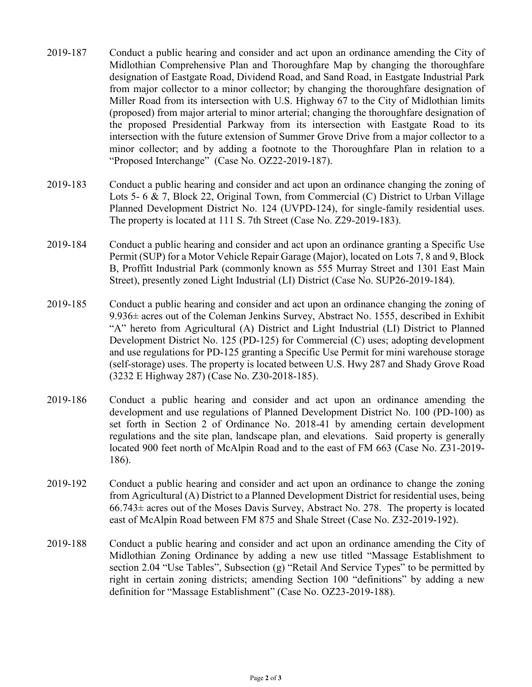- 2019-187 Conduct a public hearing and consider and act upon an ordinance amending the City of Midlothian Comprehensive Plan and Thoroughfare Map by changing the thoroughfare designation of Eastgate Road, Dividend Road, and Sand Road, in Eastgate Industrial Park from major collector to a minor collector; by changing the thoroughfare designation of Miller Road from its intersection with U.S. Highway 67 to the City of Midlothian limits (proposed) from major arterial to minor arterial; changing the thoroughfare designation of the proposed Presidential Parkway from its intersection with Eastgate Road to its intersection with the future extension of Summer Grove Drive from a major collector to a minor collector; and by adding a footnote to the Thoroughfare Plan in relation to a "Proposed Interchange" (Case No. OZ22-2019-187).
- 2019-183 Conduct a public hearing and consider and act upon an ordinance changing the zoning of Lots 5- 6 & 7, Block 22, Original Town, from Commercial (C) District to Urban Village Planned Development District No. 124 (UVPD-124), for single-family residential uses. The property is located at 111 S. 7th Street (Case No. Z29-2019-183).
- 2019-184 Conduct a public hearing and consider and act upon an ordinance granting a Specific Use Permit (SUP) for a Motor Vehicle Repair Garage (Major), located on Lots 7, 8 and 9, Block B, Proffitt Industrial Park (commonly known as 555 Murray Street and 1301 East Main Street), presently zoned Light Industrial (LI) District (Case No. SUP26-2019-184).
- 2019-185 Conduct a public hearing and consider and act upon an ordinance changing the zoning of  $9.936\pm$  acres out of the Coleman Jenkins Survey, Abstract No. 1555, described in Exhibit "A" hereto from Agricultural (A) District and Light Industrial (LI) District to Planned Development District No. 125 (PD-125) for Commercial (C) uses; adopting development and use regulations for PD-125 granting a Specific Use Permit for mini warehouse storage (self-storage) uses. The property is located between U.S. Hwy 287 and Shady Grove Road (3232 E Highway 287) (Case No. Z30-2018-185).
- 2019-186 Conduct a public hearing and consider and act upon an ordinance amending the development and use regulations of Planned Development District No. 100 (PD-100) as set forth in Section 2 of Ordinance No. 2018-41 by amending certain development regulations and the site plan, landscape plan, and elevations. Said property is generally located 900 feet north of McAlpin Road and to the east of FM 663 (Case No. Z31-2019- 186).
- 2019-192 Conduct a public hearing and consider and act upon an ordinance to change the zoning from Agricultural (A) District to a Planned Development District for residential uses, being 66.743± acres out of the Moses Davis Survey, Abstract No. 278. The property is located east of McAlpin Road between FM 875 and Shale Street (Case No. Z32-2019-192).
- 2019-188 Conduct a public hearing and consider and act upon an ordinance amending the City of Midlothian Zoning Ordinance by adding a new use titled "Massage Establishment to section 2.04 "Use Tables", Subsection (g) "Retail And Service Types" to be permitted by right in certain zoning districts; amending Section 100 "definitions" by adding a new definition for "Massage Establishment" (Case No. OZ23-2019-188).